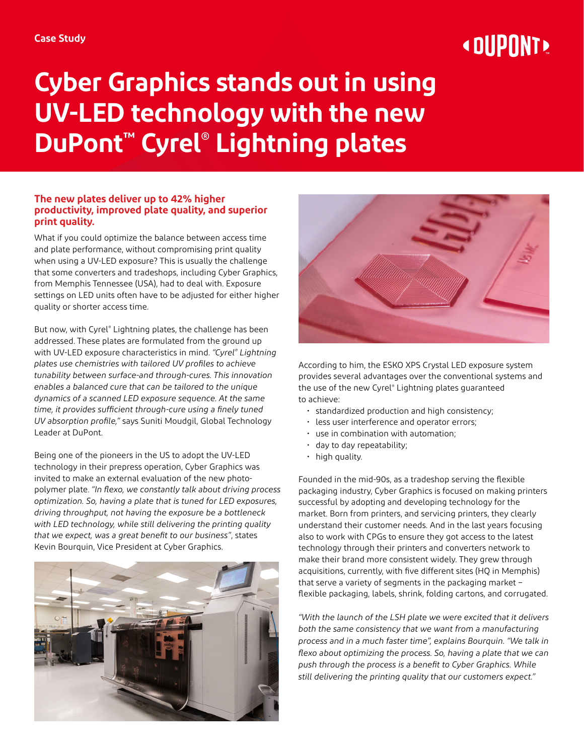# **« OUPONT »**

## **Cyber Graphics stands out in using UV-LED technology with the new DuPont™ Cyrel® Lightning plates**

#### **The new plates deliver up to 42% higher productivity, improved plate quality, and superior print quality.**

What if you could optimize the balance between access time and plate performance, without compromising print quality when using a UV-LED exposure? This is usually the challenge that some converters and tradeshops, including Cyber Graphics, from Memphis Tennessee (USA), had to deal with. Exposure settings on LED units often have to be adjusted for either higher quality or shorter access time.

But now, with Cyrel® Lightning plates, the challenge has been addressed. These plates are formulated from the ground up with UV-LED exposure characteristics in mind. *"Cyrel® Lightning plates use chemistries with tailored UV profiles to achieve tunability between surface-and through-cures. This innovation enables a balanced cure that can be tailored to the unique dynamics of a scanned LED exposure sequence. At the same time, it provides sufficient through-cure using a finely tuned UV absorption profile,"* says Suniti Moudgil, Global Technology Leader at DuPont.

Being one of the pioneers in the US to adopt the UV-LED technology in their prepress operation, Cyber Graphics was invited to make an external evaluation of the new photopolymer plate. *"In flexo, we constantly talk about driving process optimization. So, having a plate that is tuned for LED exposures, driving throughput, not having the exposure be a bottleneck with LED technology, while still delivering the printing quality that we expect, was a great benefit to our business"*, states Kevin Bourquin, Vice President at Cyber Graphics.





According to him, the ESKO XPS Crystal LED exposure system provides several advantages over the conventional systems and the use of the new Cyrel® Lightning plates guaranteed to achieve:

- standardized production and high consistency;
- less user interference and operator errors;
- use in combination with automation;
- day to day repeatability;
- high quality.

Founded in the mid-90s, as a tradeshop serving the flexible packaging industry, Cyber Graphics is focused on making printers successful by adopting and developing technology for the market. Born from printers, and servicing printers, they clearly understand their customer needs. And in the last years focusing also to work with CPGs to ensure they got access to the latest technology through their printers and converters network to make their brand more consistent widely. They grew through acquisitions, currently, with five different sites (HQ in Memphis) that serve a variety of segments in the packaging market – flexible packaging, labels, shrink, folding cartons, and corrugated.

*"With the launch of the LSH plate we were excited that it delivers both the same consistency that we want from a manufacturing process and in a much faster time", explains Bourquin. "We talk in flexo about optimizing the process. So, having a plate that we can push through the process is a benefit to Cyber Graphics. While still delivering the printing quality that our customers expect."*